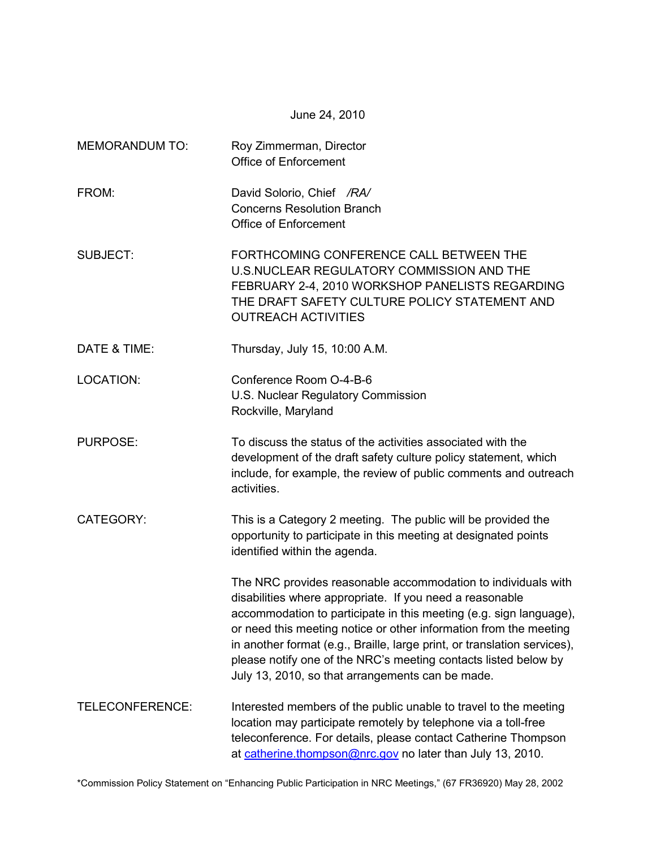June 24, 2010

| <b>MEMORANDUM TO:</b> | Roy Zimmerman, Director<br><b>Office of Enforcement</b>                                                                                                                                                                                                                                                                                                                                                                                                                 |  |  |  |  |
|-----------------------|-------------------------------------------------------------------------------------------------------------------------------------------------------------------------------------------------------------------------------------------------------------------------------------------------------------------------------------------------------------------------------------------------------------------------------------------------------------------------|--|--|--|--|
| FROM:                 | David Solorio, Chief /RA/<br><b>Concerns Resolution Branch</b><br><b>Office of Enforcement</b>                                                                                                                                                                                                                                                                                                                                                                          |  |  |  |  |
| <b>SUBJECT:</b>       | FORTHCOMING CONFERENCE CALL BETWEEN THE<br><b>U.S.NUCLEAR REGULATORY COMMISSION AND THE</b><br>FEBRUARY 2-4, 2010 WORKSHOP PANELISTS REGARDING<br>THE DRAFT SAFETY CULTURE POLICY STATEMENT AND<br><b>OUTREACH ACTIVITIES</b>                                                                                                                                                                                                                                           |  |  |  |  |
| DATE & TIME:          | Thursday, July 15, 10:00 A.M.                                                                                                                                                                                                                                                                                                                                                                                                                                           |  |  |  |  |
| <b>LOCATION:</b>      | Conference Room O-4-B-6<br>U.S. Nuclear Regulatory Commission<br>Rockville, Maryland                                                                                                                                                                                                                                                                                                                                                                                    |  |  |  |  |
| <b>PURPOSE:</b>       | To discuss the status of the activities associated with the<br>development of the draft safety culture policy statement, which<br>include, for example, the review of public comments and outreach<br>activities.                                                                                                                                                                                                                                                       |  |  |  |  |
| <b>CATEGORY:</b>      | This is a Category 2 meeting. The public will be provided the<br>opportunity to participate in this meeting at designated points<br>identified within the agenda.                                                                                                                                                                                                                                                                                                       |  |  |  |  |
|                       | The NRC provides reasonable accommodation to individuals with<br>disabilities where appropriate. If you need a reasonable<br>accommodation to participate in this meeting (e.g. sign language),<br>or need this meeting notice or other information from the meeting<br>in another format (e.g., Braille, large print, or translation services),<br>please notify one of the NRC's meeting contacts listed below by<br>July 13, 2010, so that arrangements can be made. |  |  |  |  |
| TELECONFERENCE:       | Interested members of the public unable to travel to the meeting<br>location may participate remotely by telephone via a toll-free<br>teleconference. For details, please contact Catherine Thompson<br>at catherine.thompson@nrc.gov no later than July 13, 2010.                                                                                                                                                                                                      |  |  |  |  |

\*Commission Policy Statement on "Enhancing Public Participation in NRC Meetings," (67 FR36920) May 28, 2002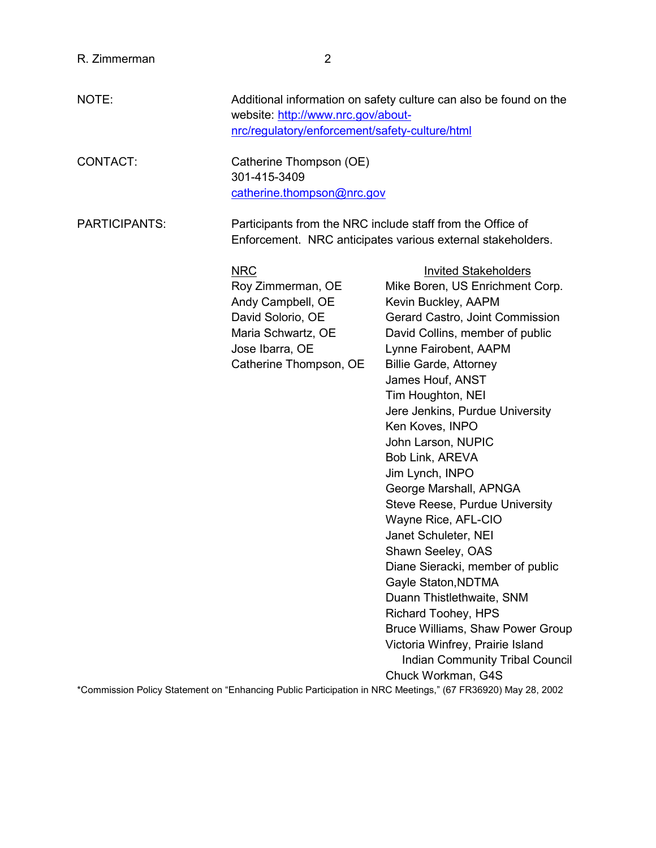| NOTE:         | Additional information on safety culture can also be found on the<br>website: http://www.nrc.gov/about-<br>nrc/regulatory/enforcement/safety-culture/html |                                                                                                                                                                                                                                                                                                                                                                                                                                                                                                                                                                                                                                                                                                                                                                                                                                                                                                      |  |  |  |
|---------------|-----------------------------------------------------------------------------------------------------------------------------------------------------------|------------------------------------------------------------------------------------------------------------------------------------------------------------------------------------------------------------------------------------------------------------------------------------------------------------------------------------------------------------------------------------------------------------------------------------------------------------------------------------------------------------------------------------------------------------------------------------------------------------------------------------------------------------------------------------------------------------------------------------------------------------------------------------------------------------------------------------------------------------------------------------------------------|--|--|--|
| CONTACT:      | Catherine Thompson (OE)<br>301-415-3409<br>catherine.thompson@nrc.gov                                                                                     |                                                                                                                                                                                                                                                                                                                                                                                                                                                                                                                                                                                                                                                                                                                                                                                                                                                                                                      |  |  |  |
| PARTICIPANTS: | Participants from the NRC include staff from the Office of<br>Enforcement. NRC anticipates various external stakeholders.                                 |                                                                                                                                                                                                                                                                                                                                                                                                                                                                                                                                                                                                                                                                                                                                                                                                                                                                                                      |  |  |  |
|               | <b>NRC</b><br>Roy Zimmerman, OE<br>Andy Campbell, OE<br>David Solorio, OE<br>Maria Schwartz, OE<br>Jose Ibarra, OE<br>Catherine Thompson, OE              | <b>Invited Stakeholders</b><br>Mike Boren, US Enrichment Corp.<br>Kevin Buckley, AAPM<br>Gerard Castro, Joint Commission<br>David Collins, member of public<br>Lynne Fairobent, AAPM<br><b>Billie Garde, Attorney</b><br>James Houf, ANST<br>Tim Houghton, NEI<br>Jere Jenkins, Purdue University<br>Ken Koves, INPO<br>John Larson, NUPIC<br>Bob Link, AREVA<br>Jim Lynch, INPO<br>George Marshall, APNGA<br><b>Steve Reese, Purdue University</b><br>Wayne Rice, AFL-CIO<br>Janet Schuleter, NEI<br>Shawn Seeley, OAS<br>Diane Sieracki, member of public<br>Gayle Staton, NDTMA<br>Duann Thistlethwaite, SNM<br><b>Richard Toohey, HPS</b><br>Bruce Williams, Shaw Power Group<br>Victoria Winfrey, Prairie Island<br><b>Indian Community Tribal Council</b><br>Chuck Workman, G4S<br>*Commission Policy Statement on "Enhancing Public Participation in NRC Meetings," (67 FR36920) May 28, 2002 |  |  |  |